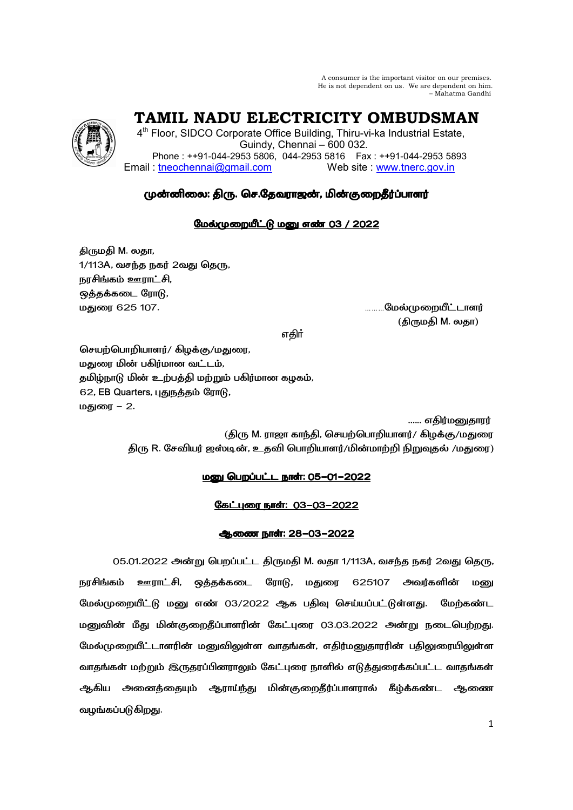A consumer is the important visitor on our premises. He is not dependent on us. We are dependent on him. – Mahatma Gandhi

 **TAMIL NADU ELECTRICITY OMBUDSMAN** 

4<sup>th</sup> Floor, SIDCO Corporate Office Building, Thiru-vi-ka Industrial Estate, Guindy, Chennai – 600 032. Phone : ++91-044-2953 5806, 044-2953 5816 Fax : ++91-044-2953 5893 Email : tneochennai@gmail.com Web site : www.tnerc.gov.in

# முன்னிலை: திரு. செ.தேவராஜன், மின்குறைதீர்ப்பாளர்

## மேல்முறையீட்டு மனு எண் 03 / 2022

திருமதி M. லதா, 1/113A, வசந்த நகர் 2வது தெரு, நரசிங்கம் ஊராட்சி, ஒத்தக்கடை ரோடு, . 625 107. ………
6

(திருமதி M. லதா)

ு பாட்டி காரணம் கார்க்கும் என்று பாட்டி கார்க்கும். இவர் பாட்டி கார்க்கும் என்று பாட்டி கார்க்கும் என்று பாட்ட

செயற்பொறியாளர்/ கிழக்கு/மதுரை, மதுரை மின் பகிர்மான வட்டம், தமிழ்நாடு மின் உற்பத்தி மற்றும் பகிர்மான கழகம், 62, EB Quarters, புதுநத்தம் ரோடு, மதுரை – 2.

...... எதிர்மனுதாரர்

(திரு M. ராஜா காந்தி, செயற்பொறியாளர்/ கிழக்கு/மதுரை திரு R. சேவியர் ஜஸ்டின், உதவி பொறியாளர்/மின்மாற்றி நிறுவுதல் /மதுரை)

## <u> மனு பெறப்பட்ட நாள்: 05-01-2022</u>

## <u>கேட்புரை நாள்: 03-03-2022</u>

## ஆணை நாள்: 28-03-2022

05.01.2022 அன்று பெறப்பட்ட திருமதி M. லதா 1/113A, வசந்த நகர் 2வது தெரு, நரசிங்கம் ஊராட்சி, ஒத்தக்கடை ரோடு, மதுரை 625107 அவர்களின் மனு மேல்முறையீட்டு மனு எண் 03/2022 ஆக பதிவு செய்யப்பட்டுள்ளது. மேற்கண்ட மனுவின் மீது மின்குறைதீப்பாளரின் கேட்புரை 03.03.2022 அன்று நடைபெற்றது. மேல்முறையீட்டாளரின் மனுவிலுள்ள வாதங்கள், எதிர்மனுதாரரின் பதிலுரையிலுள்ள வாதங்கள் மற்றும் இருதரப்பினராலும் கேட்புரை நாளில் எடுத்துரைக்கப்பட்ட வாதங்கள் ஆகிய அனைத்தையும் ஆராய்ந்து மின்குறைதீர்ப்பாளரால் கீழ்க்கண்ட ஆணை வழங்கப்படுகிறது.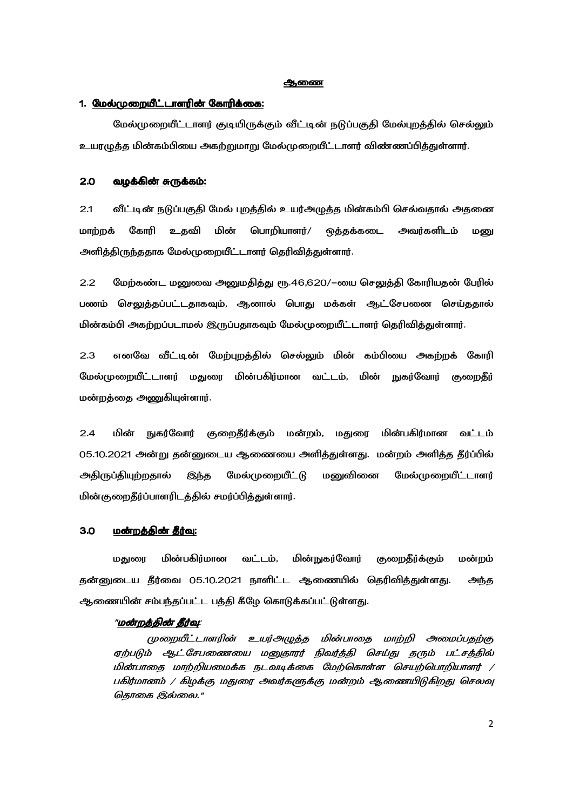#### **ஆ**ணை

## 1. <u>மேல்முறையீட்டாளரின் கோரிக்கை:</u>

மேல்முறையீட்டாளர் குடியிருக்கும் வீட்டின் நடுப்பகுதி மேல்புறத்தில் செல்லும் உயரழுத்த மின்கம்பியை அகற்றுமாறு மேல்முறையீட்டாளர் விண்ணப்பித்துள்ளார்.

#### 2.0 A5@- i 5-1 i 5-1:

2.1 வீட்டின் நடுப்பகுதி மேல் புறத்தில் உயர்அழுத்த மின்கம்பி செல்வதால் அதனை மாற்றக் கோரி உதவி மின் பொறியாளர்/ ஒத்தக்கடை அவர்களிடம் மனு அளித்திருந்ததாக மேல்முறையீட்டாளர் தெரிவித்துள்ளார்.

2.2 மேற்கண்ட மனுவை அனுமதித்து ரூ.46,620/–யை செலுத்தி கோரியதன் பேரில் பணம் செலுத்தப்பட்டதாகவும், ஆனால் பொது மக்கள் ஆட்சேபனை செய்ததால் மின்கம்பி அகற்றப்படாமல் இருப்பதாகவும் மேல்முறையீட்டாளர் தெரிவித்துள்ளார்.

2.3 எனவே வீட்டின் மேற்புறத்தில் செல்லும் மின் கம்பியை அகற்றக் கோரி மேல்முறையீட்டாளர் மதுரை மின்பகிர்மான வட்டம், மின் நுகர்வோர் குறைதீர் மன்றத்தை அணுகியுள்ளார்.

2.4 மின் நுகர்வோர் குறைதீர்க்கும் மன்றம், மதுரை மின் மின்பகிர்மான வட்டம் 05.10.2021 அன்று தன்னுடைய ஆணையை அளித்துள்ளது. மன்றம் அளித்த தீர்ப்பில் அதிருப்தியுற்றதால் இந்த மேல்முறையீட்டு மனுவினை மேல்முறையீட்டாளர் மின்குறைதீர்ப்பாளரிடத்தில் சமர்ப்பித்துள்ளார்.

#### 3.0 - <u>மன்றத்தின் தீர்வு:</u>

மதுரை மின்பகிர்மான வட்டம், மின்நுகர்வோர் குறைதீர்க்கும் மன்றம் தன்னுடைய தீர்வை 05.10.2021 நாளிட்ட ஆணையில் தெரிவித்துள்ளது. அந்த ஆணையின் சம்பந்தப்பட்ட பத்தி கீழே கொடுக்கப்பட்டுள்ளது.

#### "<u>மன்றத்தின் தீர்வு</u>:

முறையீட்டாளரின் உயர்அழுத்த மின்பாதை மாற்றி அமைப்பதற்கு ஏற்படும் ஆட்சேபணையை மனுதாரர் நிவர்த்தி செய்து தரும் பட்சத்தில் மின்பாதை மாற்றியமைக்க நடவடிக்கை மேற்கொள்ள செயற்பொறியாளர் */* பகிர்மானம் / கிழக்கு மதுரை அவர்களுக்கு மன்றம் ஆணையிடுகிறது செலவு தொகை இல்லை."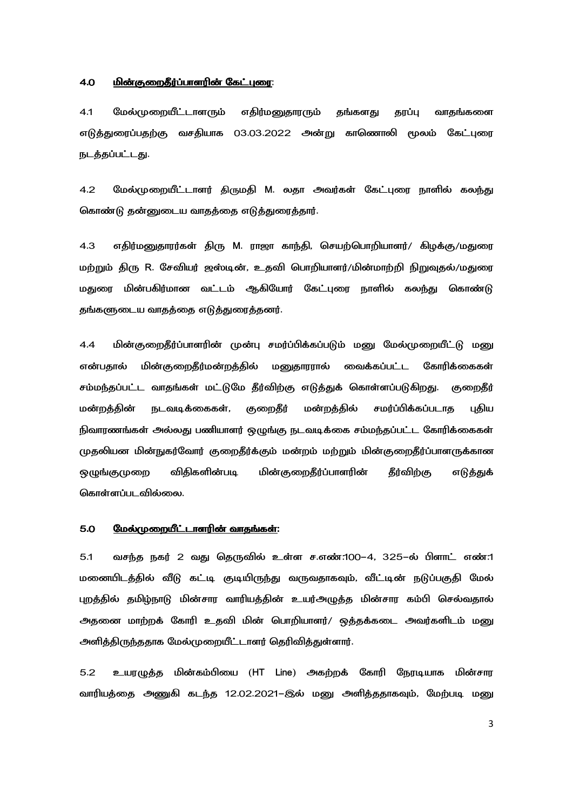#### <u> 4.0 மின்குறைதீர்ப்பாளரின் கேட்புரை:</u>

4.1 மேல்முறையீட்டாளரும் எதிர்மனுதாரரும் தங்களது தரப்பு வாதங்களை எடுத்துரைப்பதற்கு வசதியாக 03.03.2022 அன்று காணொலி மூலம் கேட்புரை நடத்தப்பட்டது.

4.2 மேல்முறையீட்டாளர் திருமதி M. லதா அவர்கள் கேட்புரை நாளில் கலந்து கொண்டு தன்னுடைய வாதத்தை எடுத்துரைத்தார்.

4.3 எதிர்மனுதாரர்கள் திரு M. ராஜா காந்தி, செயற்பொறியாளர்/ கிழக்கு/மதுரை மற்றும் திரு R. சேவியர் ஜஸ்டின், உதவி பொறியாளர்/மின்மாற்றி நிறுவுதல்/மதுரை மதுரை மின்பகிர்மான வட்டம் ஆகியோர் கேட்புரை நாளில் கலந்து கொண்டு தங்களுடைய வாதத்தை எடுத்துரைத்தனர்.

4.4 மின்குறைதீர்ப்பாளரின் முன்பு சமர்ப்பிக்கப்படும் மனு மேல்முறையீட்டு மனு என்பதால் மின் குறைதீர்மன்றத்தில் மனுதாரரால் வைக்கப்பட்ட கோரிக்கைகள் சம்மந்தப்பட்ட வாதங்கள் மட்டுமே தீர்விற்கு எடுத்துக் கொள்ளப்படுகிறது. குறைதீர் மன்றத்தின் நடவடிக்கைகள், குறைதீர் மன்றத்தில் சமர்ப்பிக்கப்படாத புதிய நிவாரணங்கள் அல்லது பணியாளர் ஒழுங்கு நடவடிக்கை சம்மந்தப்பட்ட கோரிக்கைகள் முதலியன மின்நுகர்வோர் குறைதீர்க்கும் மன்றம் மற்றும் மின்குறைதீர்ப்பாளருக்கான ஒமுங்குமுறை விதிகளின்பட<u>ி</u> படி மின்குறைதீர்ப்பாளரின் தீர்விற்கு எடுத்துக் கொள்ளப்படவில்லை.

#### 5.0 
6`- 0-W 0-W:

5.1 வசந்த நகர் 2 வது தெருவில் உள்ள ச.எண்.100–4, 325–ல் பிளாட் எண்.1 மனையிடத்தில் வீடு கட்டி குடியிருந்து வருவதாகவும், வீட்டின் நடுப்பகுதி மேல் புறத்தில் தமிழ்நாடு மின்சார வாரியத்தின் உயர்அழுத்த மின்சார கம்பி செல்வதால் அதனை மாற்றக் கோரி உதவி மின் பொறியாளர்/ ஒத்தக்கடை அவர்களிடம் மனு அளித்திருந்ததாக மேல்முறையீட்டாளர் தெரிவித்துள்ளார்.

5.2 உயரழுத்த மின்கம்பியை (HT Line) அகற்றக் கோரி நேரடியாக மின்சார வாரியத்தை அணுகி கடந்த 12.02.2021–இல் மனு அளித்ததாகவும், மேற்படி மனு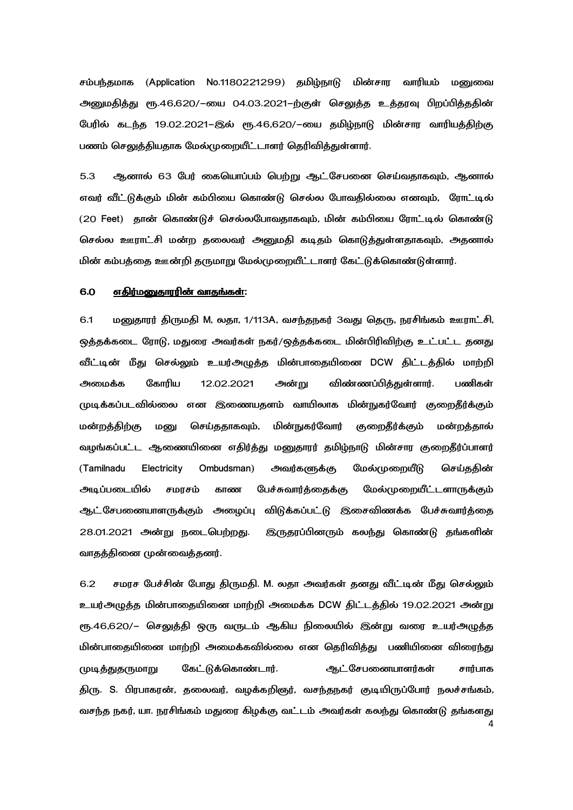சம்பந்தமாக (Application No.1180221299) தமிழ்நாடு மின்சார வாரியம் மனுவை அனுமதித்து ரூ.46,620/–யை 04.03.2021–ற்குள் செலுத்த உத்தரவு பிறப்பித்ததின் பேரில் கடந்த 19.02.2021–இல் ரூ.46,620/–யை தமிழ்நாடு மின்சார வாரியத்திற்கு பணம் செலுத்தியதாக மேல்முறையீட்டாளர் தெரிவித்துள்ளார்.

5.3 ஆனால் 63 பேர் கையொப்பம் பெற்று ஆட்சேபனை செய்வதாகவும், ஆனால் எவர் வீட்டுக்கும் மின் கம்பியை கொண்டு செல்ல போவதில்லை எனவும், ரோட்டில்  $(20$  Feet)  $\,$  தான் கொண்டுச் செல்லபோவதாகவும், மின் கம்பியை ரோட்டில் கொண்டு செல்ல ஊராட்சி மன்ற தலைவர் அனுமதி கடிதம் கொடுத்துள்ளதாகவும், அதனால் மின் கம்பத்தை ஊன்றி தருமாறு மேல்முறையீட்டாளர் கேட்டுக்கொண்டுள்ளார்.

#### 6.0 <u>எதிர்மனுதாரரின் வாதங்கள்</u>:

6.1 மனுதாரர் திருமதி M, லதா, 1/113A, வசந்தநகர் 3வது தெரு, நரசிங்கம் ஊராட்சி, ஒத்தக்கடை ரோடு, மதுரை அவர்கள் நகர்/ஒத்தக்கடை மின்பிரிவிற்கு உட்பட்ட தனது வீட்டின் மீது செல்லும் உயர்அழுத்த மின்பாதையினை DCW திட்டத்தில் மாற்றி அமைக்க கோரிய 12.02.2021 அன்று விண்ணப்பித்துள்ளார். பணிகள் முடிக்கப்படவில்லை என இணையதளம் வாயிலாக மின்நுகர்வோர் குறைதீர்க்கும் மன்றத்திற்கு மனு செய்ததாகவும், மின்நுகர்வோர் குறைதீர்க்கும் மன்றத்தால் வழங்கப்பட்ட ஆணையினை எதிர்த்து மனுதாரர் தமிழ்நாடு மின்சார குறைதீர்ப்பாளர் (Tamilnadu Electricity Ombudsman) அவர்களுக்கு மேல்முறையீடு செய்ததின் அடிப்படையில் சமரசம் காண பேச்சுவார்த்தைக்கு மேல்முறையீட்டளாருக்கும் ஆட்சேபணையாளருக்கும் அழைப்பு விடுக்கப்பட்டு இசைவிணக்க பேச்சுவார்த்தை 28.01.2021 அன்று நடைபெற்றது. று நடைபெற்றது. இருதரப்பினரும் கலந்து கொண்டு தங்களின் வாதத்தினை முன்வைத்தனர்.

4 6.2 சமரச பேச்சின் போது திருமதி. M. லதா அவர்கள் தனது வீட்டின் மீது செல்லும் உயர்அழுத்த மின்பாதையினை மாற்றி அமைக்க DCW திட்டத்தில் 19.02.2021 அன்று ரூ.46,620/– செலுத்தி ஒரு வருடம் ஆகிய நிலையில் இன்று வரை உயர்அழுத்த மின்பாதையினை மாற்றி அமைக்கவில்லை என தெரிவித்து பணியினை விரைந்து முடித்துதருமாறு கேட்டுக்கொண்டார். ஆட்சேபனையாளர்கள் சார்பாக திரு. S. பிரபாகரன், தலைவர், வழக்கறிஞர், வசந்தநகர் குடியிருப்போர் நலச்சங்கம், வசந்த நகர், யா. நரசிங்கம் மதுரை கிழக்கு வட்டம் அவர்கள் கலந்து கொண்டு தங்களது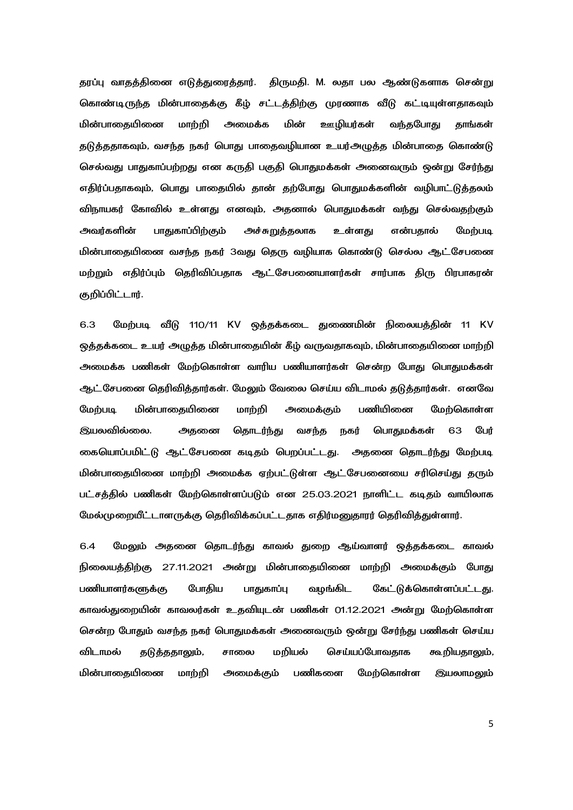தரப்பு வாதத்தினை எடுத்துரைத்தார். திருமதி. M. லதா பல ஆண்டுகளாக சென்று கொண்டிருந்த மின்பாதைக்கு கீழ் சட்டத்திற்கு முரணாக வீடு கட்டியுள்ளதாகவும் மின்பாகையினை மாற்றி அமைக்க மின் ஊழியர்கள் வந்தபோது தாங்கள் தடுத்ததாகவும், வசந்த நகர் பொது பாதைவழியான உயர்அழுத்த மின்பாதை கொண்டு செல்வது பாதுகாப்பற்றது என கருதி பகுதி பொதுமக்கள் அனைவரும் ஒன்று சேர்ந்து எதிர்ப்பதாகவும், பொது பாதையில் தான் தற்போது பொதுமக்களின் வழிபாட்டுத்தலம் விநாயகர் கோவில் உள்ளது எனவும், அதனால் பொதுமக்கள் வந்து செல்வதற்கும் அவர்களின் பாதுகாப்பிற்கும் அச்சுறுத்தலாக உள்ளது என்பதால் மேற்படி மின்பாதையினை வசந்த நகர் 3வது தெரு வழியாக கொண்டு செல்ல ஆட்சேபனை மற்றும் எதிர்ப்பும் தெரிவிப்பதாக ஆட்-சேபனையாளர்கள் சார்பாக திரு பிரபாகரன் குறிப்பிட்டார்.

6.3 மேற்படி வீடு 110/11 KV ஒத்தக்கடை துணைமின் நிலையத்தின் 11 KV ஒத்தக்கடை உயர் அழுத்த மின்பாதையின் கீழ் வருவதாகவும், மின்பாதையினை மாற்றி அமைக்க பணிகள் மேற்கொள்ள வாரிய பணியாளர்கள் சென்ற போது பொதுமக்கள் ஆட்சேபனை தெரிவித்தார்கள். மேலும் வேலை செய்ய விடாமல் தடுத்தார்கள். எனவே மேற்படி மின்பாதையினை மாற்றி அமைக்கும் பணியினை மேற்கொள்ள இயலவில்லை. அதனை தொடர்ந்து வசந்த நகர் பொதுமக்கள் 63 பேர் கையொப்பமிட்டு ஆட்சேபனை கடிதம் பெறப்பட்டது. அதனை தொடர்ந்து மேற்படி மின்பாதையினை மாற்றி அமைக்க ஏற்பட்டுள்ள ஆட்சேபனையை சரிசெய்து தரும் பட்சக்கில் பணிகள் மேற்கொள்ளப்படும் என 25.03.2021 நாளிட்ட கடிகம் வாயிலாக மேல்முறையீட்டாளருக்கு தெரிவிக்கப்பட்டதாக எதிர்மனுதாரர் தெரிவித்துள்ளார்.

6.4 மேலும் அதனை தொடர்ந்து காவல் துறை ஆய்வாளர் ஒத்தக்கடை காவல் நிலையத்திற்கு 27.11.2021 அன்று மின்பாதையினை மாற்றி அமைக்கும் போது பணியாளர்களுக்கு போதிய பாதுகாப்பு வழங்கிட கேட்டுக்கொள்ளப்பட்டது. காவல்துறையின் காவலர்கள் உதவியுடன் பணிகள் 01.12.2021 அன்று மேற்கொள்ள சென்ற போதும் வசந்த நகர் பொதுமக்கள் அனைவரும் ஒன்று சேர்ந்து பணிகள் செய்ய விடாமல் தடுத்ததாலும், சாலை மறியல் செய்யப்போவதாக கூறியதாலும், மின்பாகையினை மாற்றி அமைக்கும் பணிகளை மேற்கொள்ள இயலாமலும்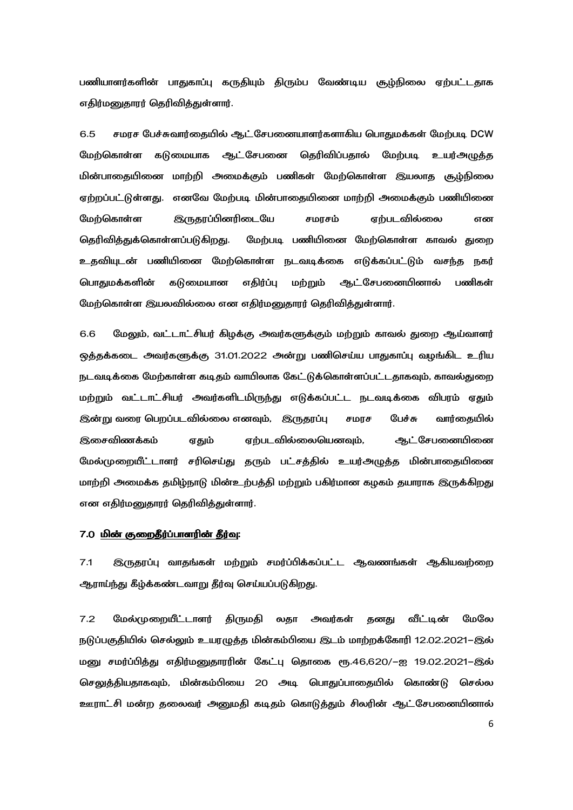பணியாளர்களின் பாதுகாப்பு கருதியும் திரும்ப வேண்டிய சூழ்நிலை ஏற்பட்டதாக எதிர்மனுதாரர் தெரிவித்துள்ளார்.

6.5  
ib Y
B=-@= .5-W 
>T DCW மேற்கொள்ள கடுமையாக ஆட்சேபனை தெரிவிப்பதால் மேற்படி உயர்அழுத்த மின்பாதையினை மாற்றி அமைக்கும் பணிகள் மேற்கொள்ள இயலாத சூழ்நிலை ஏற்றப்பட்டுள்ளது. எனவே மேற்படி மின்பாதையினை மாற்றி அமைக்கும் பணியினை மேற்கொள்ள இருதரப்பினரிடையே சமரசம் ஏற்படவில்லை என தெரிவித்துக்கொள்ளப்படுகிறது. மேற்படி பணியினை மேற்கொள்ள காவல் துறை உதவியுடன் பணியினை மேற்கொள்ள நடவடிக்கை எடுக்கப்பட்டும் வசந்த நகர் பொதுமக்களின் கடுமையான எதிர்ப்பு மற்றும் ஆட்சேபனையினால் பணிகள் மேற்கொள்ள இயலவில்லை என எதிர்மனுதாரர் தெரிவித்துள்ளார்.

6.6 மேலும், வட்டாட்சியர் கிழக்கு அவர்களுக்கும் மற்றும் காவல் துறை ஆய்வாளர் ஒத்தக்கடை அவர்களுக்கு 31.01.2022 அன்று பணிசெய்ய பாதுகாப்பு வழங்கிட உரிய நடவடிக்கை மேற்காள்ள கடிதம் வாயிலாக கேட்டுக்கொள்ளப்பட்டதாகவும், காவல்துறை மற்றும் வட்டாட்சியர் அவர்களிடமிருந்து எடுக்கப்பட்ட நடவடிக்கை விபரம் ஏதும் இன்று வரை பெறப்படவில்லை எனவும், இருதரப்பு சமரச பேச்சு வார்தையில் இசைவிணக்கம் ஏதும் ஏற்படவில்லையெனவும், ஆட்சேபனையினை மேல்முறையீட்டாளர் சரிசெய்து தரும் பட்சத்தில் உயர்அழுத்த மின்பாதையினை மாற்றி அமைக்க தமிழ்நாடு மின்உற்பத்தி மற்றும் பகிர்மான கழகம் தயாராக இருக்கிறது என எதிர்மனுதாரர் தெரிவித்துள்ளார்.

### 7.0 <u>மின் குறைதீர்ப்பாளரின் தீர்வு</u>:

7.1 இருதரப்பு வாதங்கள் மற்றும் சமர்ப்பிக்கப்பட்ட ஆவணங்கள் ஆகியவற்றை ஆராய்ந்து கீழ்க்கண்டவாறு தீர்வு செய்யப்படுகிறது.

7.2 மேல்முறையீட்டாளர் திருமதி லதா அவர்கள் தனது வீட்டின் மேலே நடுப்பகுதியில் செல்லும் உயரழுத்த மின்கம்பியை இடம் மாற்றக்கோரி 12.02.2021–இல் மனு சமர்ப்பித்து எதிர்மனுதாரரின் கேட்பு தொகை ரூ.46,620/−ஐ 19.02.2021−இல் செலுத்தியதாகவும், மின்கம்பியை 20 அடி பொதுப்பாதையில் கொண்டு செல்ல ஊராட்சி மன்ற தலைவர் அனுமதி கடிதம் கொடுத்தும் சிலரின் ஆட்சேபனையினால்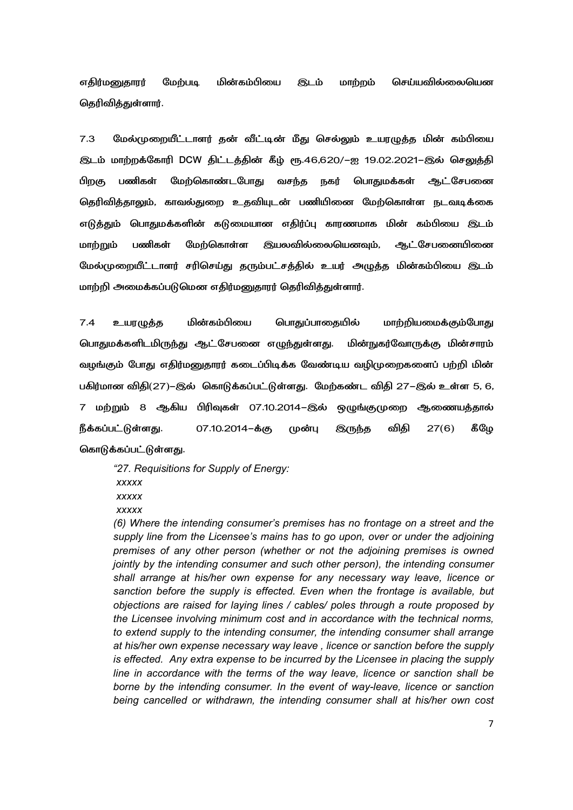எதிர்மனுதாரர் மேற்படி மின்கம்பியை **இடம் மாற்றம் செய்யவில்லையென** தெரிவித்துள்ளார்.

7.3 மேல்முறையீட்டாளர் தன் வீட்டின் மீது செல்லும் உயரழுத்த மின் கம்பியை இடம் மாற்றக்கோரி DCW திட்டத்தின் கீழ் ரூ.46,620/–ஐ 19.02.2021–இல் செலுத்தி பிறகு பணிகள் மேற்கொண்டபோது வசந்த நகர் பொதுமக்கள் ஆட்சேபனை தெரிவித்தாலும், காவல்துறை உதவியுடன் பணியினை மேற்கொள்ள நடவடிக்கை எடுத்தும் பொதுமக்களின் கடுமையான எதிர்ப்பு காரணமாக மின் கம்பியை இடம் மாற்றும் பணிகள் மேற்கொள்ள இயலவில்லையெனவும், ஆட்சேபனையினை மேல்முறையீட்டாளர் சரிசெய்து தரும்பட்சத்தில் உயர் அழுத்த மின்கம்பியை இடம் மாற்றி அமைக்கப்படுமென எதிர்மனுதாரர் தெரிவித்துள்ளார்.

7.4 உயரழுத்த மின்கம்பியை ொதுப்பாதையில் மாற்றியமைக்கும்போது பொதுமக்களிடமிருந்து ஆட்சேபனை எழுந்துள்ளது. நுகர்வோருக்கு மின்சாரம் வழங்கும் போது எதிர்மனுதாரர் கடைப்பிடிக்க வேண்டிய வழிமுறைகளைப் பற்றி மின் பகிர்மான விதி(27)–இல் கொடுக்கப்பட்டுள்ளது. மேற்கண்ட விதி 27–இல் உள்ள 5, 6, 7 மற்றும் 8 ஆகிய பிரிவுகள் 07.10.2014–இல் ஒழுங்குமுறை ஆணையத்தால் நீக்கப்பட்டுள்ளது. 07.10.2014-க்கு முன்பு இருந்த விதி  $27(6)$  கீழே கொடுக்கப்பட்டுள்ளது.

*"27. Requisitions for Supply of Energy: xxxxx xxxxx xxxxx* 

*(6) Where the intending consumer's premises has no frontage on a street and the supply line from the Licensee's mains has to go upon, over or under the adjoining premises of any other person (whether or not the adjoining premises is owned jointly by the intending consumer and such other person), the intending consumer shall arrange at his/her own expense for any necessary way leave, licence or sanction before the supply is effected. Even when the frontage is available, but objections are raised for laying lines / cables/ poles through a route proposed by the Licensee involving minimum cost and in accordance with the technical norms, to extend supply to the intending consumer, the intending consumer shall arrange at his/her own expense necessary way leave , licence or sanction before the supply is effected. Any extra expense to be incurred by the Licensee in placing the supply line in accordance with the terms of the way leave, licence or sanction shall be borne by the intending consumer. In the event of way-leave, licence or sanction being cancelled or withdrawn, the intending consumer shall at his/her own cost*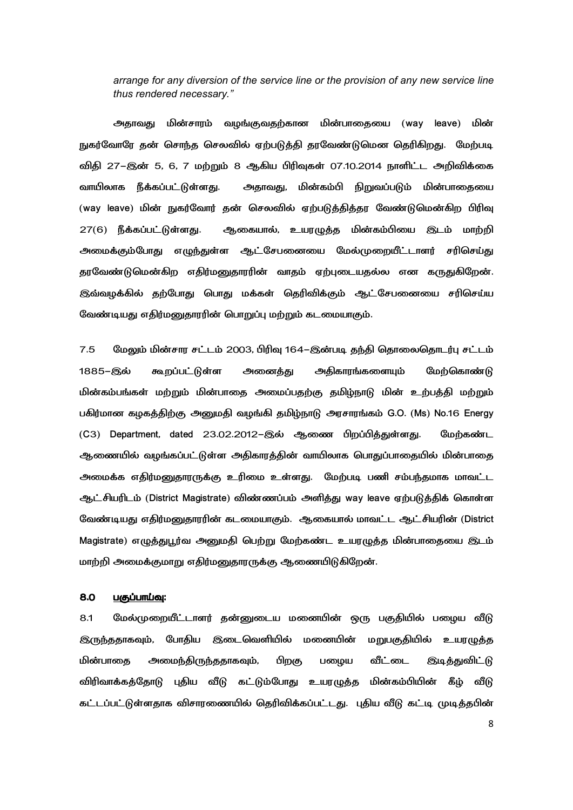*arrange for any diversion of the service line or the provision of any new service line thus rendered necessary."*

அதாவது மின்சாரம் வழங்குவதற்கான மின்பாதையை (way leave) மின் நுகர்வோரே தன் சொந்த செலவில் ஏற்படுத்தி தரவேண்டுமென தெரிகிறது. மேற்படி விதி 27–இன் 5, 6, 7 மற்றும் 8 ஆகிய பிரிவுகள் 07.10.2014 நாளிட்ட அறிவிக்கை வாயிலாக நீக்கப்பட்டுள்ளது. கம்பி நிறுவப்படும் மின்பாதையை (way leave) மின் நுகர்வோர் தன் செலவில் ஏற்படுத்தித்தர வேண்டுமென்கிற பிரிவு 27(6) நீக்கப்பட்டுள்ளது. ஆகையால், உயரழுத்த மின்கம்பியை இடம் மாற்றி அமைக்கும்போது எழுந்துள்ள ஆட்சேபனையை மேல்முறையீட்டாளர் சரிசெய்து தரவேண்டுமென்கிற எதிர்மனுதாரரின் வாதம் ஏற்புடையதல்ல என கருதுகிறேன். இவ்வழக்கில் தற்போது பொது மக்கள் தெரிவிக்கும் ஆட்சேபனையை சரிசெய்ய வேண்டியது எதிர்மனுதாரரின் பொறுப்பு மற்றும் கடமையாகும்.

7.5 மேலும் மின்சார சட்டம் 2003, பிரிவு 164–இன்படி தந்தி தொலைதொடர்பு சட்டம் 1885-இல் கூறப்பட்டுள்ள அனைத்து அதிகாரங்களையும் மேற்கொண்டு மின்கம்பங்கள் மற்றும் மின்பாதை அமைப்பதற்கு தமிழ்நாடு மின் உற்பத்தி மற்றும் பகிர்மான கழகத்திற்கு அனுமதி வழங்கி தமிழ்நாடு அரசாரங்கம் G.O. (Ms) No.16 Energy  $(C3)$  Department, dated 23.02.2012–இல் ஆணை பிறப்பித்துள்ளது. மேற்கண்ட ஆணையில் வழங்கப்பட்டுள்ள அதிகாரத்தின் வாயிலாக பொதுப்பாதையில் மின்பாதை அமைக்க எதிர்மனுதாரருக்கு உரிமை உள்ளது. மேற்படி பணி சம்பந்தமாக மாவட்ட ஆட்சியரிடம் (District Magistrate) விண்ணப்பம் அளித்து way leave ஏற்படுத்திக் கொள்ள வேண்டியது எதிர்மனுதாரரின் கடமையாகும். ஆகையால் மாவட்ட ஆட்சியரின் (District Magistrate) எழுத்துபூர்வ அனுமதி பெற்று மேற்கண்ட உயரழுத்த மின்பாதையை இடம் மாற்றி அமைக்குமாறு எதிர்மனுதாரருக்கு ஆணையிடுகிறேன்.

## 8.0 <u>பகுப்பாய்வு</u>:

8.1 மேல்முறையீட்டாளர் தன்னுடைய மனையின் ஒரு பகுதியில் பழைய வீடு இருந்ததாகவும், போதிய இடைவெளியில் மனையின் மறுபகுதியில் உயரழுத்த மின்பாதை அமைந்திருந்ததாகவும், பிறகு பழைய வீட்டை இடித்துவிட்டு விரிவாக்கத்தோடு புதிய வீடு கட்டும்போது உயரழுத்த கம்பியின் கீழ் வீடு கட்டப்பட்டுள்ளதாக விசாரணையில் தெரிவிக்கப்பட்டது. புதிய வீடு கட்டி முடித்தபின்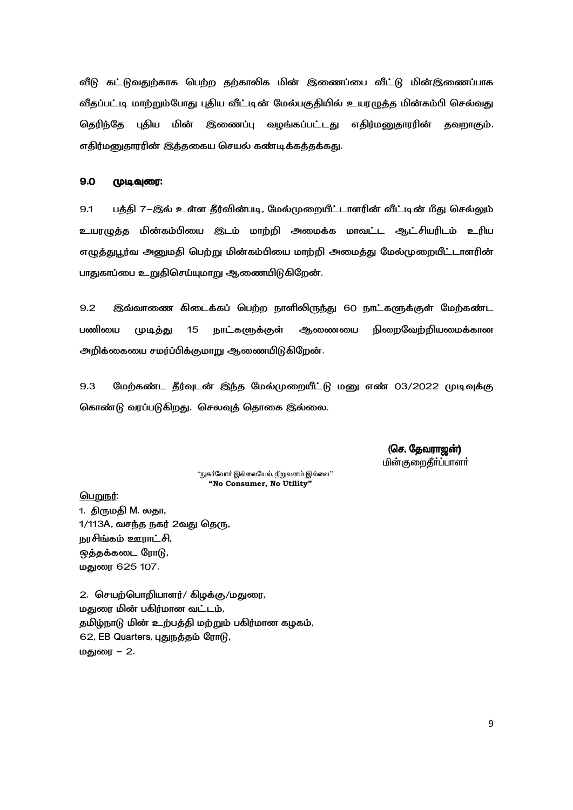வீடு கட்டுவதுற்காக பெற்ற தற்காலிக மின் இணைப்பை வீட்டு மின்இணைப்பாக வீதப்பட்டி மாற்றும்போது புதிய வீட்டின் மேல்பகுதியில் உயரழுத்த மின்கம்பி செல்வது தெரிந்தே புதிய மின் இணைப்பு வழங்கப்பட்டது எதிர்மனுதாரரின் தவறாகும். எதிர்மனுதாரரின் இத்தகைய செயல் கண்டிக்கத்தக்கது.

#### $9.0$ <u> முடிவுரை:</u>

 $9.1$ பத்தி 7–இல் உள்ள தீர்வின்படி, மேல்முறையீட்டாளரின் வீட்டின் மீது செல்லும் உயரழுத்த மின்கம்பியை இடம் மாற்றி அமைக்க மாவட்ட ஆட்சியரிடம் உரிய எழுத்துபூர்வ அனுமதி பெற்று மின்கம்பியை மாற்றி அமைத்து மேல்முறையீட்டாளரின் பாதுகாப்பை உறுதிசெய்யுமாறு ஆணையிடுகிறேன்.

 $9.2$ இவ்வாணை கிடைக்கப் பெற்ற நாளிலிருந்து 60 நாட்களுக்குள் மேற்கண்ட நிறைவேற்றியமைக்கான பணியை முடித்து 15 நாட்களுக்குள் <u> ஆணையை</u> அறிக்கையை சமர்ப்பிக்குமாறு ஆணையிடுகிறேன்.

9.3 மேற்கண்ட தீர்வுடன் இந்த மேல்முறையீட்டு மனு எண் 03/2022 முடிவுக்கு கொண்டு வரப்படுகிறது. செலவுத் தொகை இல்லை.

> (செ. தேவராஜன்) <u>மின்குறைதீர்ப்பாளர்</u>

''நுகா்வோா் இல்லையேல், நிறுவனம் இல்லை'' "No Consumer, No Utility"

#### பெறுநர்:

1. திருமதி M. லதா, 1/113A, வசந்த நகர் 2வது தெரு, நரசிங்கம் ஊராட்சி, ஒத்தக்கடை ரோடு, மகுண 625 107.

2. செயற்பொறியாளர்/ கிழக்கு/மதுரை, மதுரை மின் பகிர்மான வட்டம், தமிழ்நாடு மின் உற்பத்தி மற்றும் பகிர்மான கழகம், 62, EB Quarters, புதுநத்தம் ரோடு, மதுரை – 2.